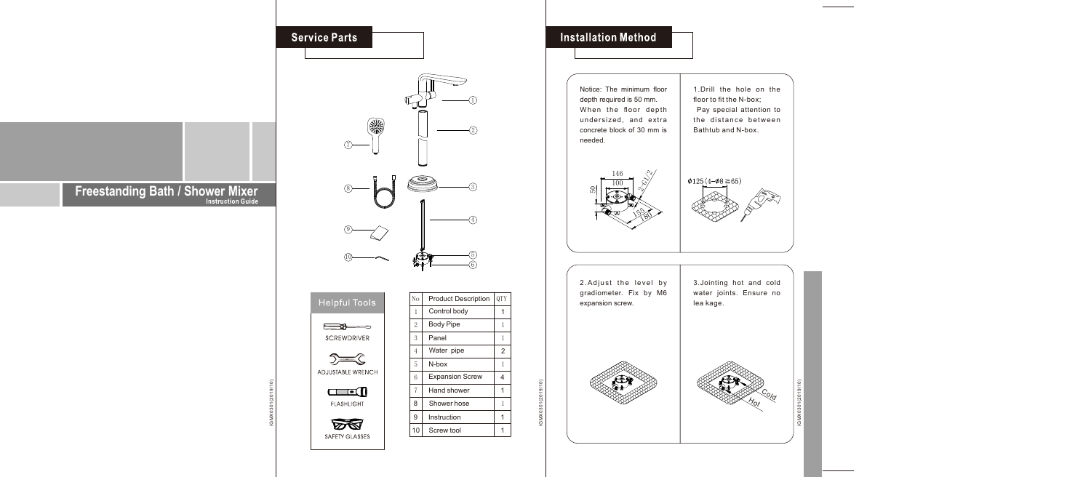|                                                              | ı<br>V<br>$\mathbf{1}$           |
|--------------------------------------------------------------|----------------------------------|
| 20<br>$\overline{7}$                                         | $\overline{2}$                   |
| нижили<br>8<br><b>STARTON BOOM</b><br><b>RANGE AND STATE</b> | $\overline{3}$                   |
| 9                                                            | $\overline{4}$                   |
| 10                                                           | $\overline{5}$<br>$\overline{6}$ |
|                                                              |                                  |

**Service Parts** 

**Helpful Tools** 

 $\implies$ SCREWDRIVER

 $\sum_{i=1}^{n}$ **ADJUSTABLE WRENCH** 

> $\Box$ **FLASHLIGHT**

DA SAFETY GLASSES

| No             | <b>Product Description</b> | QTY            |
|----------------|----------------------------|----------------|
| 1              | Control body               | 1              |
| $\overline{2}$ | <b>Body Pipe</b>           | 1              |
| 3              | Panel                      | 1              |
| 4              | Water pipe                 | $\overline{2}$ |
| 5              | N-box                      | 1              |
| 6              | <b>Expansion Screw</b>     | 4              |
| $\overline{7}$ | Hand shower                |                |
| 8              | Shower hose                | 1              |
| 9              | Instruction                |                |
| 10             | Screw tool                 |                |

## **Installation Method**



Notice: The minimum floor depth required is 50 mm. When the floor depth undersized, and extra concrete block of 30 mm is needed.

| 2. Adjust the level by                     |  |
|--------------------------------------------|--|
| gradiometer. Fix by M6<br>expansion screw. |  |
|                                            |  |



1.Drill the hole on the



## **Freestanding Bath / Shower Mixer**

IGMX0301(2019/10)

IGMX0301(2019/10)

GMX0301(2019/10)